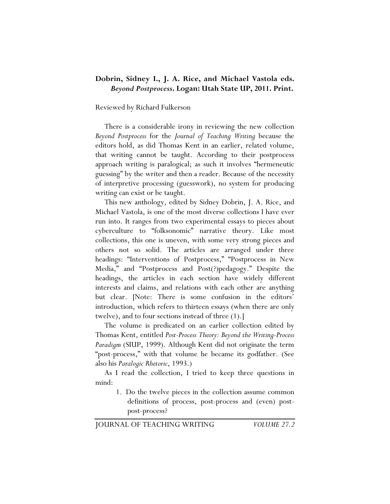## **Dobrin, Sidney I., J. A. Rice, and Michael Vastola eds.**  *Beyond Postprocess***. Logan: Utah State UP, 2011. Print.**

## Reviewed by Richard Fulkerson

There is a considerable irony in reviewing the new collection *Beyond Postprocess* for the *Journal of Teaching Writing* because the editors hold, as did Thomas Kent in an earlier, related volume, that writing cannot be taught. According to their postprocess approach writing is paralogical; as such it involves "hermeneutic guessing" by the writer and then a reader. Because of the necessity of interpretive processing (guesswork), no system for producing writing can exist or be taught.

This new anthology, edited by Sidney Dobrin, J. A. Rice, and Michael Vastola, is one of the most diverse collections I have ever run into. It ranges from two experimental essays to pieces about cyberculture to "folksonomic" narrative theory. Like most collections, this one is uneven, with some very strong pieces and others not so solid. The articles are arranged under three headings: "Interventions of Postprocess," "Postprocess in New Media," and "Postprocess and Post(?)pedagogy." Despite the headings, the articles in each section have widely different interests and claims, and relations with each other are anything but clear. [Note: There is some confusion in the editors' introduction, which refers to thirteen essays (when there are only twelve), and to four sections instead of three (1).]

The volume is predicated on an earlier collection edited by Thomas Kent, entitled *Post-Process Theory: Beyond the Writing-Process Paradigm* (SIUP, 1999). Although Kent did not originate the term "post-process," with that volume he became its godfather. (See also his *Paralogic Rhetoric*, 1993.)

As I read the collection, I tried to keep three questions in mind:

1. Do the twelve pieces in the collection assume common definitions of process, post-process and (even) postpost-process?

JOURNAL OF TEACHING WRITING *VOLUME 27.2*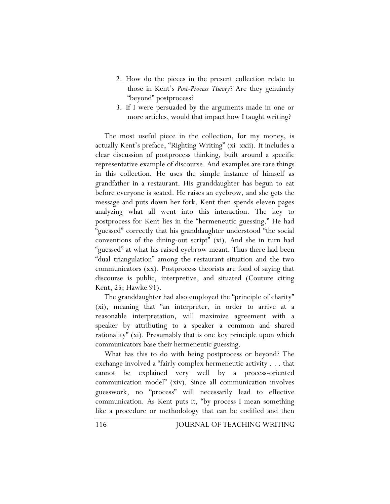- 2. How do the pieces in the present collection relate to those in Kent's *Post-Process Theory*? Are they genuinely "beyond" postprocess?
- 3. If I were persuaded by the arguments made in one or more articles, would that impact how I taught writing?

The most useful piece in the collection, for my money, is actually Kent's preface, "Righting Writing" (xi–xxii). It includes a clear discussion of postprocess thinking, built around a specific representative example of discourse. And examples are rare things in this collection. He uses the simple instance of himself as grandfather in a restaurant. His granddaughter has begun to eat before everyone is seated. He raises an eyebrow, and she gets the message and puts down her fork. Kent then spends eleven pages analyzing what all went into this interaction. The key to postprocess for Kent lies in the "hermeneutic guessing." He had "guessed" correctly that his granddaughter understood "the social conventions of the dining-out script" (xi). And she in turn had "guessed" at what his raised eyebrow meant. Thus there had been "dual triangulation" among the restaurant situation and the two communicators (xx). Postprocess theorists are fond of saying that discourse is public, interpretive, and situated (Couture citing Kent, 25; Hawke 91).

The granddaughter had also employed the "principle of charity" (xi), meaning that "an interpreter, in order to arrive at a reasonable interpretation, will maximize agreement with a speaker by attributing to a speaker a common and shared rationality" (xi). Presumably that is one key principle upon which communicators base their hermeneutic guessing.

What has this to do with being postprocess or beyond? The exchange involved a "fairly complex hermeneutic activity . . . that cannot be explained very well by a process-oriented communication model" (xiv). Since all communication involves guesswork, no "process" will necessarily lead to effective communication. As Kent puts it, "by process I mean something like a procedure or methodology that can be codified and then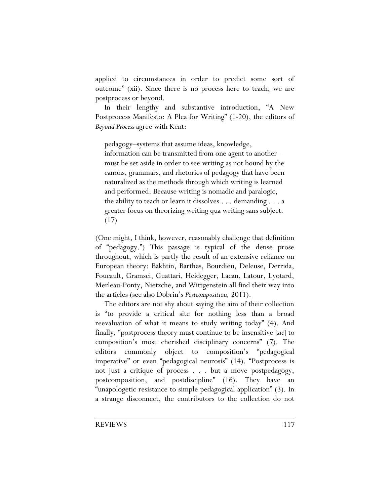applied to circumstances in order to predict some sort of outcome" (xii). Since there is no process here to teach, we are postprocess or beyond.

In their lengthy and substantive introduction, "A New Postprocess Manifesto: A Plea for Writing" (1-20), the editors of *Beyond Process* agree with Kent:

pedagogy–systems that assume ideas, knowledge, information can be transmitted from one agent to another– must be set aside in order to see writing as not bound by the canons, grammars, and rhetorics of pedagogy that have been naturalized as the methods through which writing is learned and performed. Because writing is nomadic and paralogic, the ability to teach or learn it dissolves . . . demanding . . . a greater focus on theorizing writing qua writing sans subject. (17)

(One might, I think, however, reasonably challenge that definition of "pedagogy.") This passage is typical of the dense prose throughout, which is partly the result of an extensive reliance on European theory: Bakhtin, Barthes, Bourdieu, Deleuse, Derrida, Foucault, Gramsci, Guattari, Heidegger, Lacan, Latour, Lyotard, Merleau-Ponty, Nietzche, and Wittgenstein all find their way into the articles (see also Dobrin's *Postcomposition,* 2011).

The editors are not shy about saying the aim of their collection is "to provide a critical site for nothing less than a broad reevaluation of what it means to study writing today" (4). And finally, "postprocess theory must continue to be insensitive [*sic*] to composition's most cherished disciplinary concerns" (7). The editors commonly object to composition's "pedagogical imperative" or even "pedagogical neurosis" (14). "Postprocess is not just a critique of process . . . but a move postpedagogy, postcomposition, and postdiscipline" (16). They have an "unapologetic resistance to simple pedagogical application" (3). In a strange disconnect, the contributors to the collection do not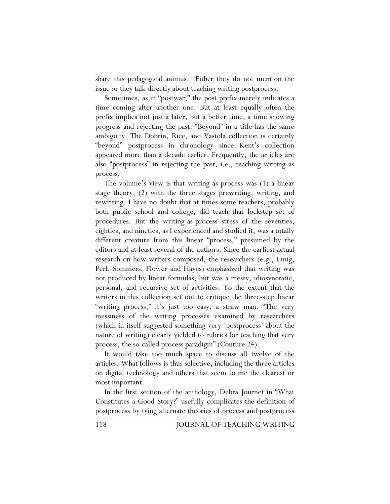share this pedagogical animus. Either they do not mention the issue or they talk directly about teaching writing postprocess.

Sometimes, as in "postwar," the post prefix merely indicates a time coming after another one. But at least equally often the prefix implies not just a later, but a better time, a time showing progress and rejecting the past. "Beyond" in a title has the same ambiguity. The Dobrin, Rice, and Vastola collection is certainly "beyond" postprocess in chronology since Kent's collection appeared more than a decade earlier. Frequently, the articles are also "postprocess" in rejecting the past, i.e., teaching writing as process.

The volume's view is that writing as process was (1) a linear stage theory, (2) with the three stages prewriting, writing, and rewriting. I have no doubt that at times some teachers, probably both public school and college, did teach that lockstep set of procedures. But the writing-as-process stress of the seventies, eighties, and nineties, as I experienced and studied it, was a totally different creature from this linear "process," presumed by the editors and at least several of the authors. Since the earliest actual research on how writers composed, the researchers (e.g., Emig, Perl, Sommers, Flower and Hayes) emphasized that writing was not produced by linear formulas, but was a messy, idiosyncratic, personal, and recursive set of activities. To the extent that the writers in this collection set out to critique the three-step linear "writing process," it's just too easy, a straw man. "The very messiness of the writing processes examined by researchers (which in itself suggested something very 'postprocess' about the nature of writing) clearly yielded to rubrics for teaching that very process, the so-called process paradigm" (Couture 24).

It would take too much space to discuss all twelve of the articles. What follows is thus selective, including the three articles on digital technology and others that seem to me the clearest or most important.

In the first section of the anthology, Debra Journet in "What Constitutes a Good Story?" usefully complicates the definition of postprocess by tying alternate theories of process and postprocess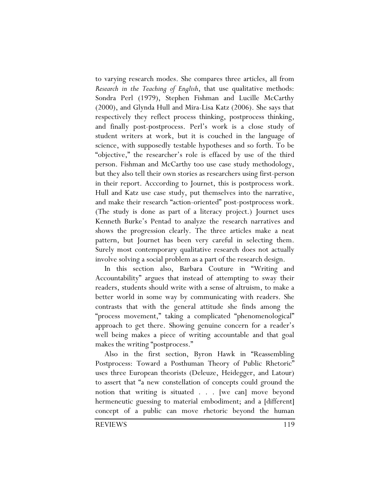to varying research modes. She compares three articles, all from *Research in the Teaching of English*, that use qualitative methods: Sondra Perl (1979), Stephen Fishman and Lucille McCarthy (2000), and Glynda Hull and Mira-Lisa Katz (2006). She says that respectively they reflect process thinking, postprocess thinking, and finally post-postprocess. Perl's work is a close study of student writers at work, but it is couched in the language of science, with supposedly testable hypotheses and so forth. To be "objective," the researcher's role is effaced by use of the third person. Fishman and McCarthy too use case study methodology, but they also tell their own stories as researchers using first-person in their report. Acccording to Journet, this is postprocess work. Hull and Katz use case study, put themselves into the narrative, and make their research "action-oriented" post-postprocess work. (The study is done as part of a literacy project.) Journet uses Kenneth Burke's Pentad to analyze the research narratives and shows the progression clearly. The three articles make a neat pattern, but Journet has been very careful in selecting them. Surely most contemporary qualitative research does not actually involve solving a social problem as a part of the research design.

In this section also, Barbara Couture in "Writing and Accountability" argues that instead of attempting to sway their readers, students should write with a sense of altruism, to make a better world in some way by communicating with readers. She contrasts that with the general attitude she finds among the "process movement," taking a complicated "phenomenological" approach to get there. Showing genuine concern for a reader's well being makes a piece of writing accountable and that goal makes the writing "postprocess."

Also in the first section, Byron Hawk in "Reassembling Postprocess: Toward a Posthuman Theory of Public Rhetoric" uses three European theorists (Deleuze, Heidegger, and Latour) to assert that "a new constellation of concepts could ground the notion that writing is situated . . . [we can] move beyond hermeneutic guessing to material embodiment; and a [different] concept of a public can move rhetoric beyond the human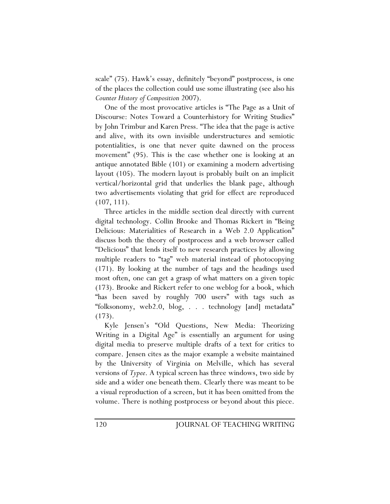scale" (75). Hawk's essay, definitely "beyond" postprocess, is one of the places the collection could use some illustrating (see also his *Counter History of Composition* 2007).

One of the most provocative articles is "The Page as a Unit of Discourse: Notes Toward a Counterhistory for Writing Studies" by John Trimbur and Karen Press. "The idea that the page is active and alive, with its own invisible understructures and semiotic potentialities, is one that never quite dawned on the process movement" (95). This is the case whether one is looking at an antique annotated Bible (101) or examining a modern advertising layout (105). The modern layout is probably built on an implicit vertical/horizontal grid that underlies the blank page, although two advertisements violating that grid for effect are reproduced (107, 111).

Three articles in the middle section deal directly with current digital technology. Collin Brooke and Thomas Rickert in "Being Delicious: Materialities of Research in a Web 2.0 Application" discuss both the theory of postprocess and a web browser called "Delicious" that lends itself to new research practices by allowing multiple readers to "tag" web material instead of photocopying (171). By looking at the number of tags and the headings used most often, one can get a grasp of what matters on a given topic (173). Brooke and Rickert refer to one weblog for a book, which "has been saved by roughly 700 users" with tags such as "folksonomy, web2.0, blog, . . . technology [and] metadata" (173).

Kyle Jensen's "Old Questions, New Media: Theorizing Writing in a Digital Age" is essentially an argument for using digital media to preserve multiple drafts of a text for critics to compare. Jensen cites as the major example a website maintained by the University of Virginia on Melville, which has several versions of *Typee*. A typical screen has three windows, two side by side and a wider one beneath them. Clearly there was meant to be a visual reproduction of a screen, but it has been omitted from the volume. There is nothing postprocess or beyond about this piece.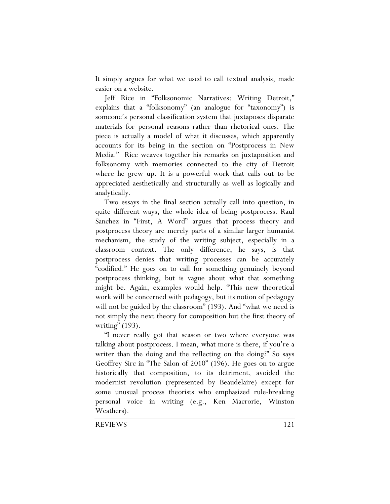It simply argues for what we used to call textual analysis, made easier on a website.

Jeff Rice in "Folksonomic Narratives: Writing Detroit," explains that a "folksonomy" (an analogue for "taxonomy") is someone's personal classification system that juxtaposes disparate materials for personal reasons rather than rhetorical ones. The piece is actually a model of what it discusses, which apparently accounts for its being in the section on "Postprocess in New Media." Rice weaves together his remarks on juxtaposition and folksonomy with memories connected to the city of Detroit where he grew up. It is a powerful work that calls out to be appreciated aesthetically and structurally as well as logically and analytically.

Two essays in the final section actually call into question, in quite different ways, the whole idea of being postprocess. Raul Sanchez in "First, A Word" argues that process theory and postprocess theory are merely parts of a similar larger humanist mechanism, the study of the writing subject, especially in a classroom context. The only difference, he says, is that postprocess denies that writing processes can be accurately "codified." He goes on to call for something genuinely beyond postprocess thinking, but is vague about what that something might be. Again, examples would help. "This new theoretical work will be concerned with pedagogy, but its notion of pedagogy will not be guided by the classroom" (193). And "what we need is not simply the next theory for composition but the first theory of writing" (193).

"I never really got that season or two where everyone was talking about postprocess. I mean, what more is there, if you're a writer than the doing and the reflecting on the doing?" So says Geoffrey Sirc in "The Salon of 2010" (196). He goes on to argue historically that composition, to its detriment, avoided the modernist revolution (represented by Beaudelaire) except for some unusual process theorists who emphasized rule-breaking personal voice in writing (e.g., Ken Macrorie, Winston Weathers).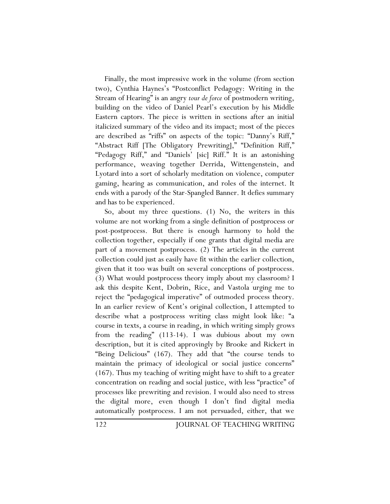Finally, the most impressive work in the volume (from section two), Cynthia Haynes's "Postconflict Pedagogy: Writing in the Stream of Hearing" is an angry *tour de force* of postmodern writing, building on the video of Daniel Pearl's execution by his Middle Eastern captors. The piece is written in sections after an initial italicized summary of the video and its impact; most of the pieces are described as "riffs" on aspects of the topic: "Danny's Riff," "Abstract Riff [The Obligatory Prewriting]," "Definition Riff," "Pedagogy Riff," and "Daniels' [sic] Riff." It is an astonishing performance, weaving together Derrida, Wittengenstein, and Lyotard into a sort of scholarly meditation on violence, computer gaming, hearing as communication, and roles of the internet. It ends with a parody of the Star-Spangled Banner. It defies summary and has to be experienced.

So, about my three questions. (1) No, the writers in this volume are not working from a single definition of postprocess or post-postprocess. But there is enough harmony to hold the collection together, especially if one grants that digital media are part of a movement postprocess. (2) The articles in the current collection could just as easily have fit within the earlier collection, given that it too was built on several conceptions of postprocess. (3) What would postprocess theory imply about my classroom? I ask this despite Kent, Dobrin, Rice, and Vastola urging me to reject the "pedagogical imperative" of outmoded process theory. In an earlier review of Kent's original collection, I attempted to describe what a postprocess writing class might look like: "a course in texts, a course in reading, in which writing simply grows from the reading" (113-14). I was dubious about my own description, but it is cited approvingly by Brooke and Rickert in "Being Delicious" (167). They add that "the course tends to maintain the primacy of ideological or social justice concerns" (167). Thus my teaching of writing might have to shift to a greater concentration on reading and social justice, with less "practice" of processes like prewriting and revision. I would also need to stress the digital more, even though I don't find digital media automatically postprocess. I am not persuaded, either, that we